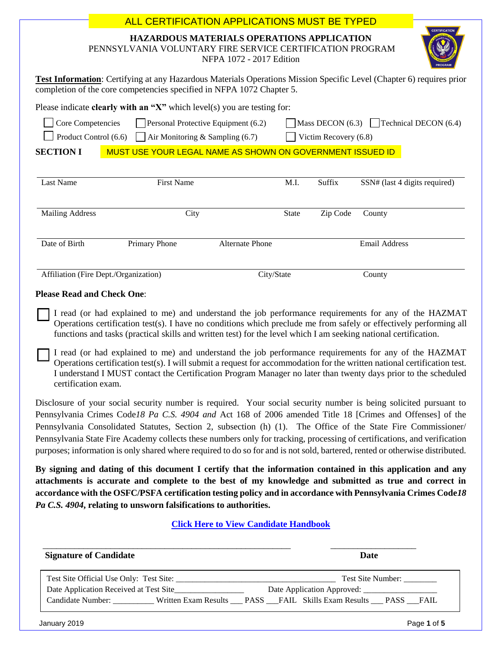| <b>ALL CERTIFICATION APPLICATIONS MUST BE TYPED</b>                                                                                                                                                                                                                                                                                                                                                                                                                                                                                                                                                         |  |  |  |
|-------------------------------------------------------------------------------------------------------------------------------------------------------------------------------------------------------------------------------------------------------------------------------------------------------------------------------------------------------------------------------------------------------------------------------------------------------------------------------------------------------------------------------------------------------------------------------------------------------------|--|--|--|
| <b>CERTIFICATION</b><br>HAZARDOUS MATERIALS OPERATIONS APPLICATION<br>PENNSYLVANIA VOLUNTARY FIRE SERVICE CERTIFICATION PROGRAM<br>NFPA 1072 - 2017 Edition                                                                                                                                                                                                                                                                                                                                                                                                                                                 |  |  |  |
| Test Information: Certifying at any Hazardous Materials Operations Mission Specific Level (Chapter 6) requires prior<br>completion of the core competencies specified in NFPA 1072 Chapter 5.                                                                                                                                                                                                                                                                                                                                                                                                               |  |  |  |
| Please indicate <b>clearly with an "X"</b> which $level(s)$ you are testing for:                                                                                                                                                                                                                                                                                                                                                                                                                                                                                                                            |  |  |  |
| Mass DECON $(6.3)$ Technical DECON $(6.4)$<br>Core Competencies<br>Personal Protective Equipment (6.2)                                                                                                                                                                                                                                                                                                                                                                                                                                                                                                      |  |  |  |
| Product Control (6.6)<br>Air Monitoring & Sampling (6.7)<br>Victim Recovery (6.8)                                                                                                                                                                                                                                                                                                                                                                                                                                                                                                                           |  |  |  |
| <b>SECTION I</b><br>MUST USE YOUR LEGAL NAME AS SHOWN ON GOVERNMENT ISSUED ID                                                                                                                                                                                                                                                                                                                                                                                                                                                                                                                               |  |  |  |
|                                                                                                                                                                                                                                                                                                                                                                                                                                                                                                                                                                                                             |  |  |  |
| <b>Last Name</b><br><b>First Name</b><br>M.I.<br>Suffix<br>SSN# (last 4 digits required)                                                                                                                                                                                                                                                                                                                                                                                                                                                                                                                    |  |  |  |
|                                                                                                                                                                                                                                                                                                                                                                                                                                                                                                                                                                                                             |  |  |  |
| <b>Mailing Address</b><br>City<br>Zip Code<br>State<br>County                                                                                                                                                                                                                                                                                                                                                                                                                                                                                                                                               |  |  |  |
|                                                                                                                                                                                                                                                                                                                                                                                                                                                                                                                                                                                                             |  |  |  |
| Date of Birth<br>Primary Phone<br>Alternate Phone<br><b>Email Address</b>                                                                                                                                                                                                                                                                                                                                                                                                                                                                                                                                   |  |  |  |
|                                                                                                                                                                                                                                                                                                                                                                                                                                                                                                                                                                                                             |  |  |  |
| Affiliation (Fire Dept./Organization)<br>City/State<br>County                                                                                                                                                                                                                                                                                                                                                                                                                                                                                                                                               |  |  |  |
| <b>Please Read and Check One:</b>                                                                                                                                                                                                                                                                                                                                                                                                                                                                                                                                                                           |  |  |  |
| I read (or had explained to me) and understand the job performance requirements for any of the HAZMAT<br>Operations certification test(s). I have no conditions which preclude me from safely or effectively performing all<br>functions and tasks (practical skills and written test) for the level which I am seeking national certification.                                                                                                                                                                                                                                                             |  |  |  |
| I read (or had explained to me) and understand the job performance requirements for any of the HAZMAT<br>Operations certification test(s). I will submit a request for accommodation for the written national certification test.<br>understand I MUST contact the Certification Program Manager no later than twenty days prior to the scheduled<br>certification exam.                                                                                                                                                                                                                                    |  |  |  |
| Disclosure of your social security number is required. Your social security number is being solicited pursuant to<br>Pennsylvania Crimes Code18 Pa C.S. 4904 and Act 168 of 2006 amended Title 18 [Crimes and Offenses] of the<br>Pennsylvania Consolidated Statutes, Section 2, subsection (h) (1). The Office of the State Fire Commissioner/<br>Pennsylvania State Fire Academy collects these numbers only for tracking, processing of certifications, and verification<br>purposes; information is only shared where required to do so for and is not sold, bartered, rented or otherwise distributed. |  |  |  |
| By signing and dating of this document I certify that the information contained in this application and any<br>attachments is accurate and complete to the best of my knowledge and submitted as true and correct in<br>accordance with the OSFC/PSFA certification testing policy and in accordance with Pennsylvania Crimes Code18<br>Pa C.S. 4904, relating to unsworn falsifications to authorities.                                                                                                                                                                                                    |  |  |  |
| <b>Click Here to View Candidate Handbook</b>                                                                                                                                                                                                                                                                                                                                                                                                                                                                                                                                                                |  |  |  |
| <b>Signature of Candidate</b><br><b>Date</b>                                                                                                                                                                                                                                                                                                                                                                                                                                                                                                                                                                |  |  |  |
| Test Site Number:                                                                                                                                                                                                                                                                                                                                                                                                                                                                                                                                                                                           |  |  |  |
| Candidate Number: Written Exam Results __ PASS __FAIL Skills Exam Results __ PASS __FAIL                                                                                                                                                                                                                                                                                                                                                                                                                                                                                                                    |  |  |  |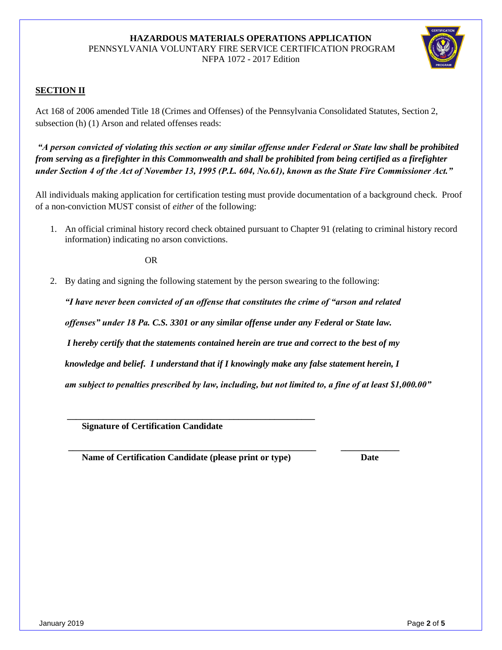#### **HAZARDOUS MATERIALS OPERATIONS APPLICATION** PENNSYLVANIA VOLUNTARY FIRE SERVICE CERTIFICATION PROGRAM NFPA 1072 - 2017 Edition



### **SECTION II**

Act 168 of 2006 amended Title 18 (Crimes and Offenses) of the Pennsylvania Consolidated Statutes, Section 2, subsection (h) (1) Arson and related offenses reads:

*"A person convicted of violating this section or any similar offense under Federal or State law shall be prohibited from serving as a firefighter in this Commonwealth and shall be prohibited from being certified as a firefighter under Section 4 of the Act of November 13, 1995 (P.L. 604, No.61), known as the State Fire Commissioner Act."*

All individuals making application for certification testing must provide documentation of a background check. Proof of a non-conviction MUST consist of *either* of the following:

1. An official criminal history record check obtained pursuant to Chapter 91 (relating to criminal history record information) indicating no arson convictions.

OR

2. By dating and signing the following statement by the person swearing to the following:

*"I have never been convicted of an offense that constitutes the crime of "arson and related offenses" under 18 Pa. C.S. 3301 or any similar offense under any Federal or State law. I hereby certify that the statements contained herein are true and correct to the best of my knowledge and belief. I understand that if I knowingly make any false statement herein, I am subject to penalties prescribed by law, including, but not limited to, a fine of at least \$1,000.00"*

 **\_\_\_\_\_\_\_\_\_\_\_\_\_\_\_\_\_\_\_\_\_\_\_\_\_\_\_\_\_\_\_\_\_\_\_\_\_\_\_\_\_\_\_\_\_\_\_\_\_\_\_\_\_\_\_ \_\_\_\_\_\_\_\_\_\_\_\_\_**

 **Signature of Certification Candidate** 

**Name of Certification Candidate (please print or type) Date** 

 **\_\_\_\_\_\_\_\_\_\_\_\_\_\_\_\_\_\_\_\_\_\_\_\_\_\_\_\_\_\_\_\_\_\_\_\_\_\_\_\_\_\_\_\_\_\_\_\_\_\_\_\_\_\_\_**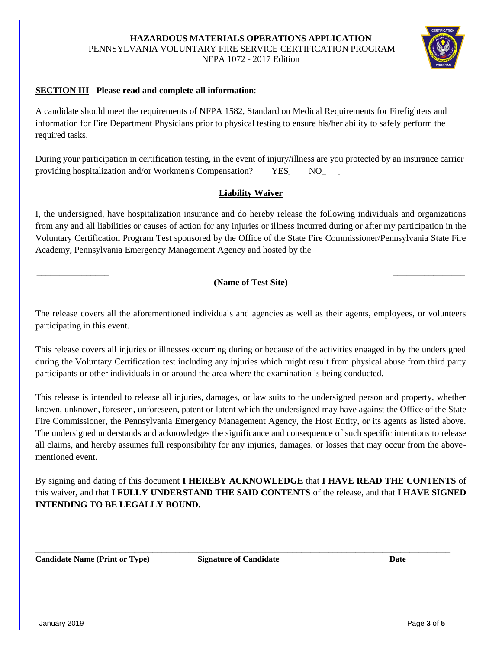# **HAZARDOUS MATERIALS OPERATIONS APPLICATION** PENNSYLVANIA VOLUNTARY FIRE SERVICE CERTIFICATION PROGRAM

NFPA 1072 - 2017 Edition

### **SECTION III** - **Please read and complete all information**:

A candidate should meet the requirements of NFPA 1582, Standard on Medical Requirements for Firefighters and information for Fire Department Physicians prior to physical testing to ensure his/her ability to safely perform the required tasks.

During your participation in certification testing, in the event of injury/illness are you protected by an insurance carrier providing hospitalization and/or Workmen's Compensation? YES\_\_\_ NO\_\_\_\_

## **Liability Waiver**

I, the undersigned, have hospitalization insurance and do hereby release the following individuals and organizations from any and all liabilities or causes of action for any injuries or illness incurred during or after my participation in the Voluntary Certification Program Test sponsored by the Office of the State Fire Commissioner/Pennsylvania State Fire Academy, Pennsylvania Emergency Management Agency and hosted by the

#### \_\_\_\_\_\_\_\_\_\_\_\_\_\_\_\_\_\_\_\_\_\_\_\_\_\_\_\_\_\_\_\_\_\_\_\_\_\_\_\_\_\_\_\_\_\_\_\_\_\_\_\_\_\_\_\_\_\_\_\_\_\_\_\_\_\_\_\_\_\_\_\_\_\_\_\_\_\_\_\_\_\_\_\_\_\_\_\_\_\_\_\_\_\_\_ **(Name of Test Site)**

The release covers all the aforementioned individuals and agencies as well as their agents, employees, or volunteers participating in this event.

This release covers all injuries or illnesses occurring during or because of the activities engaged in by the undersigned during the Voluntary Certification test including any injuries which might result from physical abuse from third party participants or other individuals in or around the area where the examination is being conducted.

This release is intended to release all injuries, damages, or law suits to the undersigned person and property, whether known, unknown, foreseen, unforeseen, patent or latent which the undersigned may have against the Office of the State Fire Commissioner, the Pennsylvania Emergency Management Agency, the Host Entity, or its agents as listed above. The undersigned understands and acknowledges the significance and consequence of such specific intentions to release all claims, and hereby assumes full responsibility for any injuries, damages, or losses that may occur from the abovementioned event.

By signing and dating of this document **I HEREBY ACKNOWLEDGE** that **I HAVE READ THE CONTENTS** of this waiver**,** and that **I FULLY UNDERSTAND THE SAID CONTENTS** of the release, and that **I HAVE SIGNED INTENDING TO BE LEGALLY BOUND.**

**Candidate Name (Print or Type) Signature of Candidate Date**

\_\_\_\_\_\_\_\_\_\_\_\_\_\_\_\_\_\_\_\_\_\_\_\_\_\_\_\_\_\_\_\_\_\_\_\_\_\_\_\_\_\_\_\_\_\_\_\_\_\_\_\_\_\_\_\_\_\_\_\_\_\_\_\_\_\_\_\_\_\_\_\_\_\_\_\_\_\_\_\_\_\_\_\_\_\_\_\_\_\_\_\_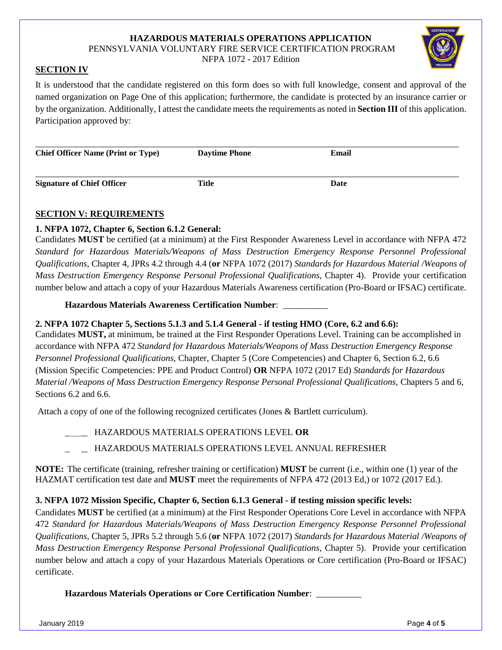#### **HAZARDOUS MATERIALS OPERATIONS APPLICATION** PENNSYLVANIA VOLUNTARY FIRE SERVICE CERTIFICATION PROGRAM

NFPA 1072 - 2017 Edition

## **SECTION IV**

It is understood that the candidate registered on this form does so with full knowledge, consent and approval of the named organization on Page One of this application; furthermore, the candidate is protected by an insurance carrier or by the organization. Additionally, I attest the candidate meets the requirements as noted in **Section III** of this application. Participation approved by:

| <b>Chief Officer Name (Print or Type)</b> | <b>Daytime Phone</b> | Email |
|-------------------------------------------|----------------------|-------|
| <b>Signature of Chief Officer</b>         | Title                | Date  |

## **SECTION V: REQUIREMENTS**

## **1. NFPA 1072, Chapter 6, Section 6.1.2 General:**

Candidates **MUST** be certified (at a minimum) at the First Responder Awareness Level in accordance with NFPA 472 *Standard for Hazardous Materials/Weapons of Mass Destruction Emergency Response Personnel Professional Qualifications,* Chapter 4, JPRs 4.2 through 4.4 (**or** NFPA 1072 (2017) *Standards for Hazardous Material /Weapons of Mass Destruction Emergency Response Personal Professional Qualifications, Chapter 4). Provide your certification* number below and attach a copy of your Hazardous Materials Awareness certification (Pro-Board or IFSAC) certificate.

**Hazardous Materials Awareness Certification Number**: \_\_\_\_\_\_\_\_\_\_

## **2. NFPA 1072 Chapter 5, Sections 5.1.3 and 5.1.4 General - if testing HMO (Core, 6.2 and 6.6):**

Candidates **MUST,** at minimum, be trained at the First Responder Operations Level. Training can be accomplished in accordance with NFPA 472 *Standard for Hazardous Materials/Weapons of Mass Destruction Emergency Response Personnel Professional Qualifications,* Chapter, Chapter 5 (Core Competencies) and Chapter 6, Section 6.2, 6.6 (Mission Specific Competencies: PPE and Product Control) **OR** NFPA 1072 (2017 Ed) *Standards for Hazardous Material /Weapons of Mass Destruction Emergency Response Personal Professional Qualifications,* Chapters 5 and 6, Sections 6.2 and 6.6.

Attach a copy of one of the following recognized certificates (Jones & Bartlett curriculum).

- \_\_\_\_\_ HAZARDOUS MATERIALS OPERATIONS LEVEL **OR**
- \_\_\_\_\_ HAZARDOUS MATERIALS OPERATIONS LEVEL ANNUAL REFRESHER

**NOTE:** The certificate (training, refresher training or certification) **MUST** be current (i.e., within one (1) year of the HAZMAT certification test date and **MUST** meet the requirements of NFPA 472 (2013 Ed,) or 1072 (2017 Ed.).

# **3. NFPA 1072 Mission Specific, Chapter 6, Section 6.1.3 General - if testing mission specific levels:**

Candidates **MUST** be certified (at a minimum) at the First Responder Operations Core Level in accordance with NFPA 472 *Standard for Hazardous Materials/Weapons of Mass Destruction Emergency Response Personnel Professional Qualifications,* Chapter 5, JPRs 5.2 through 5.6 (**or** NFPA 1072 (2017) *Standards for Hazardous Material /Weapons of Mass Destruction Emergency Response Personal Professional Qualifications, Chapter 5). Provide your certification* number below and attach a copy of your Hazardous Materials Operations or Core certification (Pro-Board or IFSAC) certificate.

**Hazardous Materials Operations or Core Certification Number**: \_\_\_\_\_\_\_\_\_\_